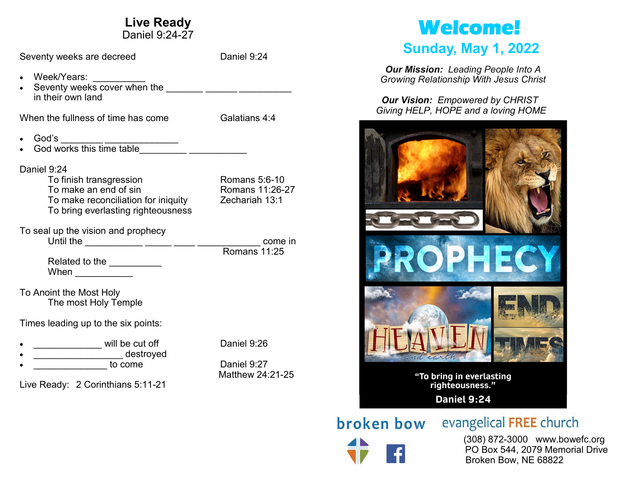### **Live Ready**

Daniel 9:24-27 Seventy weeks are decreed Daniel 9:24 • Week/Years: \_\_\_\_\_\_\_\_\_\_\_ • Seventy weeks cover when the  $\frac{1}{1}$   $\frac{1}{1}$   $\frac{1}{1}$   $\frac{1}{1}$   $\frac{1}{1}$   $\frac{1}{1}$   $\frac{1}{1}$   $\frac{1}{1}$   $\frac{1}{1}$   $\frac{1}{1}$   $\frac{1}{1}$   $\frac{1}{1}$   $\frac{1}{1}$   $\frac{1}{1}$   $\frac{1}{1}$   $\frac{1}{1}$   $\frac{1}{1}$   $\frac{1}{1}$   $\frac{1}{1}$  in their own land When the fullness of time has come Galatians 4:4 • God's \_\_\_\_\_\_\_\_\_ \_\_\_\_\_\_\_\_\_\_\_\_\_\_\_\_\_\_\_\_\_ • God works this time table\_\_\_\_\_\_\_\_\_ \_\_\_\_\_\_\_\_\_\_\_ Daniel 9:24 To finish transgression<br>To make an end of sin Romans 11:26-27 To make an end of sin To make reconciliation for iniquity Zechariah 13:1 To bring everlasting righteousness To seal up the vision and prophecy Until the \_\_\_\_\_\_\_\_\_\_\_ \_\_\_\_\_ \_\_\_\_ \_\_\_\_\_\_\_\_\_\_\_\_ come in Romans 11:25 Related to the \_\_\_\_\_\_\_\_\_\_\_  $When$ To Anoint the Most Holy The most Holy Temple Times leading up to the six points: • \_\_\_\_\_\_\_\_\_\_\_\_\_ will be cut off Daniel 9:26 • \_\_\_\_\_\_\_\_\_\_\_\_\_\_\_\_\_ destroyed • **Daniel 9:27** Matthew 24:21-25 Live Ready: 2 Corinthians 5:11-21

# **Welcome!**

## **Sunday, May 1, 2022**

*Our Mission: Leading People Into A Growing Relationship With Jesus Christ*

*Our Vision: Empowered by CHRIST Giving HELP, HOPE and a loving HOME*



**broken bow** evangelical FREE church

 (308) 872-3000 www.bowefc.org PO Box 544, 2079 Memorial Drive Broken Bow, NE 68822